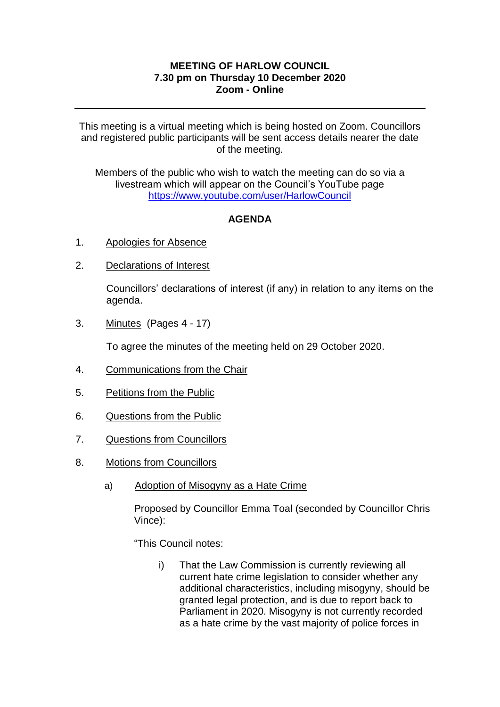## **MEETING OF HARLOW COUNCIL 7.30 pm on Thursday 10 December 2020 Zoom - Online**

This meeting is a virtual meeting which is being hosted on Zoom. Councillors and registered public participants will be sent access details nearer the date of the meeting.

Members of the public who wish to watch the meeting can do so via a livestream which will appear on the Council's YouTube page <https://www.youtube.com/user/HarlowCouncil>

## **AGENDA**

- 1. Apologies for Absence
- 2. Declarations of Interest

Councillors' declarations of interest (if any) in relation to any items on the agenda.

3. Minutes (Pages 4 - 17)

To agree the minutes of the meeting held on 29 October 2020.

- 4. Communications from the Chair
- 5. Petitions from the Public
- 6. Questions from the Public
- 7. Questions from Councillors
- 8. Motions from Councillors
	- a) Adoption of Misogyny as a Hate Crime

Proposed by Councillor Emma Toal (seconded by Councillor Chris Vince):

"This Council notes:

i) That the Law Commission is currently reviewing all current hate crime legislation to consider whether any additional characteristics, including misogyny, should be granted legal protection, and is due to report back to Parliament in 2020. Misogyny is not currently recorded as a hate crime by the vast majority of police forces in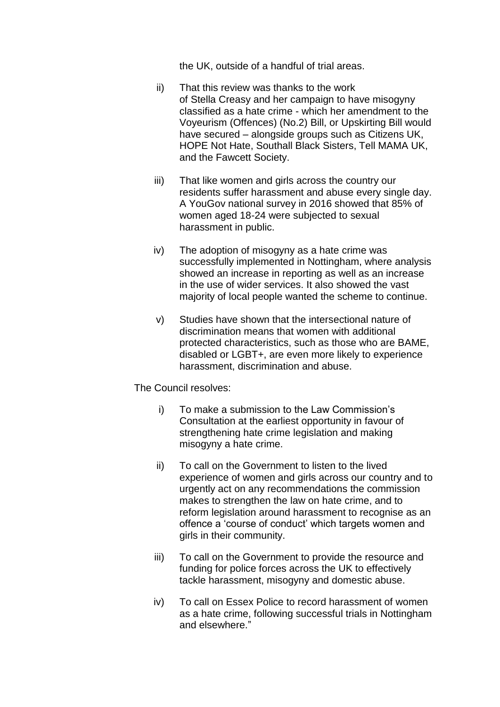the UK, outside of a handful of trial areas.

- ii) That this review was thanks to the work of Stella Creasy and her campaign to have misogyny classified as a hate crime - which her amendment to the Voyeurism (Offences) (No.2) Bill, or Upskirting Bill would have secured – alongside groups such as Citizens UK, HOPE Not Hate, Southall Black Sisters, Tell MAMA UK, and the Fawcett Society.
- iii) That like women and girls across the country our residents suffer harassment and abuse every single day. A YouGov national survey in 2016 showed that 85% of women aged 18-24 were subjected to sexual harassment in public.
- iv) The adoption of misogyny as a hate crime was successfully implemented in Nottingham, where analysis showed an increase in reporting as well as an increase in the use of wider services. It also showed the vast majority of local people wanted the scheme to continue.
- v) Studies have shown that the intersectional nature of discrimination means that women with additional protected characteristics, such as those who are BAME, disabled or LGBT+, are even more likely to experience harassment, discrimination and abuse.

The Council resolves:

- i) To make a submission to the Law Commission's Consultation at the earliest opportunity in favour of strengthening hate crime legislation and making misogyny a hate crime.
- ii) To call on the Government to listen to the lived experience of women and girls across our country and to urgently act on any recommendations the commission makes to strengthen the law on hate crime, and to reform legislation around harassment to recognise as an offence a 'course of conduct' which targets women and girls in their community.
- iii) To call on the Government to provide the resource and funding for police forces across the UK to effectively tackle harassment, misogyny and domestic abuse.
- iv) To call on Essex Police to record harassment of women as a hate crime, following successful trials in Nottingham and elsewhere."